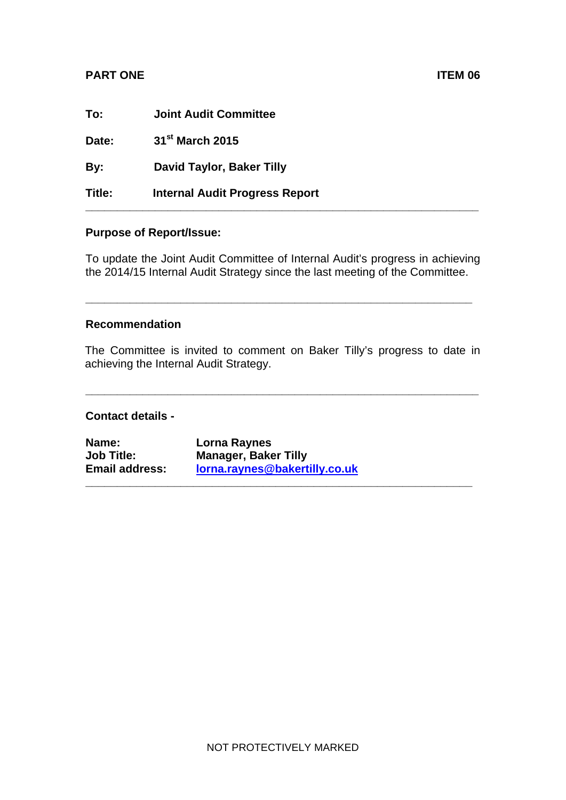## **PART ONE** ITEM 06

| To:    | <b>Joint Audit Committee</b>          |
|--------|---------------------------------------|
| Date:  | 31 <sup>st</sup> March 2015           |
| By:    | David Taylor, Baker Tilly             |
| Title: | <b>Internal Audit Progress Report</b> |

## **Purpose of Report/Issue:**

To update the Joint Audit Committee of Internal Audit's progress in achieving the 2014/15 Internal Audit Strategy since the last meeting of the Committee.

**\_\_\_\_\_\_\_\_\_\_\_\_\_\_\_\_\_\_\_\_\_\_\_\_\_\_\_\_\_\_\_\_\_\_\_\_\_\_\_\_\_\_\_\_\_\_\_\_\_\_\_\_\_\_\_\_\_\_\_\_\_** 

#### **Recommendation**

The Committee is invited to comment on Baker Tilly's progress to date in achieving the Internal Audit Strategy.

**\_\_\_\_\_\_\_\_\_\_\_\_\_\_\_\_\_\_\_\_\_\_\_\_\_\_\_\_\_\_\_\_\_\_\_\_\_\_\_\_\_\_\_\_\_\_\_\_\_\_\_\_\_\_\_\_\_\_\_\_\_\_** 

**\_\_\_\_\_\_\_\_\_\_\_\_\_\_\_\_\_\_\_\_\_\_\_\_\_\_\_\_\_\_\_\_\_\_\_\_\_\_\_\_\_\_\_\_\_\_\_\_\_\_\_\_\_\_\_\_\_\_\_\_\_**

#### **Contact details -**

| Name:                 | Lorna Raynes                  |
|-----------------------|-------------------------------|
| <b>Job Title:</b>     | <b>Manager, Baker Tilly</b>   |
| <b>Email address:</b> | lorna.raynes@bakertilly.co.uk |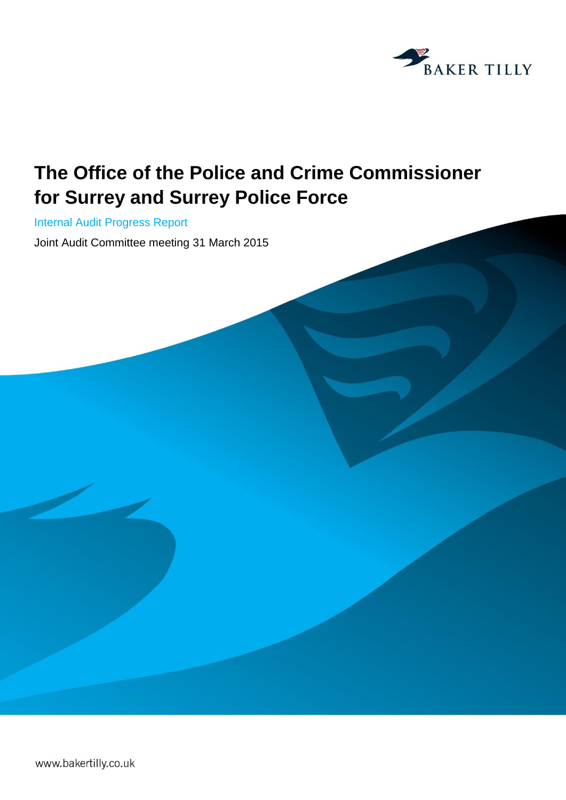

# **The Office of the Police and Crime Commissioner for Surrey and Surrey Police Force**

Internal Audit Progress Report

Joint Audit Committee meeting 31 March 2015

www.bakertilly.co.uk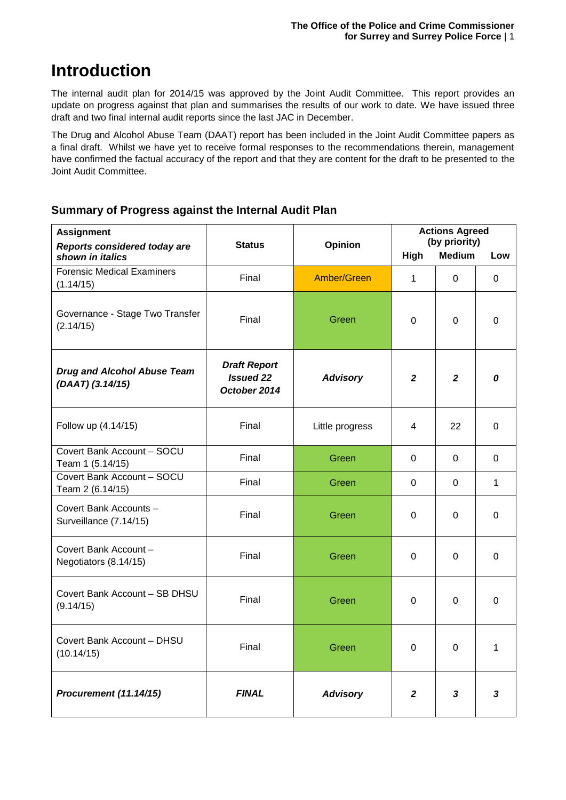## **Introduction**

The internal audit plan for 2014/15 was approved by the Joint Audit Committee. This report provides an update on progress against that plan and summarises the results of our work to date. We have issued three draft and two final internal audit reports since the last JAC in December.

The Drug and Alcohol Abuse Team (DAAT) report has been included in the Joint Audit Committee papers as a final draft. Whilst we have yet to receive formal responses to the recommendations therein, management have confirmed the factual accuracy of the report and that they are content for the draft to be presented to the Joint Audit Committee.

## **Summary of Progress against the Internal Audit Plan**

| <b>Assignment</b><br>Reports considered today are      | <b>Status</b>                                           | Opinion         | <b>Actions Agreed</b><br>(by priority) |                |             |
|--------------------------------------------------------|---------------------------------------------------------|-----------------|----------------------------------------|----------------|-------------|
| shown in italics                                       |                                                         |                 | High                                   | <b>Medium</b>  | Low         |
| <b>Forensic Medical Examiners</b><br>(1.14/15)         | Final                                                   | Amber/Green     | 1                                      | 0              | $\mathbf 0$ |
| Governance - Stage Two Transfer<br>(2.14/15)           | Final                                                   | Green           | 0                                      | $\Omega$       | $\mathbf 0$ |
| <b>Drug and Alcohol Abuse Team</b><br>(DAAT) (3.14/15) | <b>Draft Report</b><br><b>Issued 22</b><br>October 2014 | <b>Advisory</b> | $\mathbf{2}$                           | $\overline{2}$ | 0           |
| Follow up (4.14/15)                                    | Final                                                   | Little progress | 4                                      | 22             | $\Omega$    |
| Covert Bank Account - SOCU<br>Team 1 (5.14/15)         | Final                                                   | Green           | 0                                      | 0              | 0           |
| Covert Bank Account - SOCU<br>Team 2 (6.14/15)         | Final                                                   | Green           | 0                                      | $\mathbf 0$    | 1           |
| Covert Bank Accounts -<br>Surveillance (7.14/15)       | Final                                                   | Green           | 0                                      | $\Omega$       | $\mathbf 0$ |
| Covert Bank Account -<br>Negotiators (8.14/15)         | Final                                                   | Green           | 0                                      | $\Omega$       | $\mathbf 0$ |
| Covert Bank Account - SB DHSU<br>(9.14/15)             | Final                                                   | Green           | 0                                      | $\Omega$       | $\Omega$    |
| Covert Bank Account - DHSU<br>(10.14/15)               | Final                                                   | Green           | 0                                      | $\Omega$       | 1           |
| Procurement (11.14/15)                                 | <b>FINAL</b>                                            | <b>Advisory</b> | $\mathbf{2}$                           | 3              | 3           |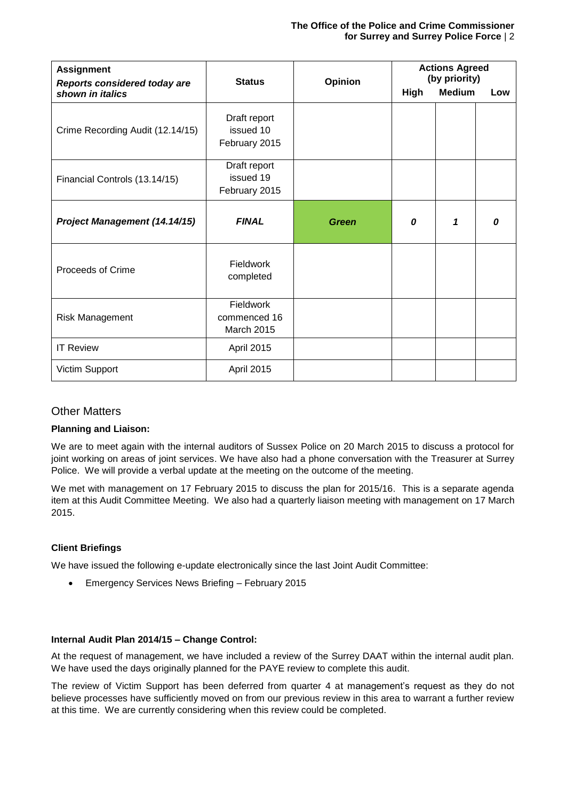#### **The Office of the Police and Crime Commissioner for Surrey and Surrey Police Force** | 2

| <b>Assignment</b><br><b>Reports considered today are</b> | <b>Status</b>                              | Opinion      | <b>Actions Agreed</b><br>(by priority) |               |     |
|----------------------------------------------------------|--------------------------------------------|--------------|----------------------------------------|---------------|-----|
| shown in italics                                         |                                            |              | <b>High</b>                            | <b>Medium</b> | Low |
| Crime Recording Audit (12.14/15)                         | Draft report<br>issued 10<br>February 2015 |              |                                        |               |     |
| Financial Controls (13.14/15)                            | Draft report<br>issued 19<br>February 2015 |              |                                        |               |     |
| Project Management (14.14/15)                            | <b>FINAL</b>                               | <b>Green</b> | 0                                      | 1             | 0   |
| Proceeds of Crime                                        | Fieldwork<br>completed                     |              |                                        |               |     |
| <b>Risk Management</b>                                   | Fieldwork<br>commenced 16<br>March 2015    |              |                                        |               |     |
| <b>IT Review</b>                                         | April 2015                                 |              |                                        |               |     |
| Victim Support                                           | April 2015                                 |              |                                        |               |     |

#### Other Matters

#### **Planning and Liaison:**

We are to meet again with the internal auditors of Sussex Police on 20 March 2015 to discuss a protocol for joint working on areas of joint services. We have also had a phone conversation with the Treasurer at Surrey Police. We will provide a verbal update at the meeting on the outcome of the meeting.

We met with management on 17 February 2015 to discuss the plan for 2015/16. This is a separate agenda item at this Audit Committee Meeting. We also had a quarterly liaison meeting with management on 17 March 2015.

#### **Client Briefings**

We have issued the following e-update electronically since the last Joint Audit Committee:

Emergency Services News Briefing – February 2015

#### **Internal Audit Plan 2014/15 – Change Control:**

At the request of management, we have included a review of the Surrey DAAT within the internal audit plan. We have used the days originally planned for the PAYE review to complete this audit.

The review of Victim Support has been deferred from quarter 4 at management's request as they do not believe processes have sufficiently moved on from our previous review in this area to warrant a further review at this time. We are currently considering when this review could be completed.